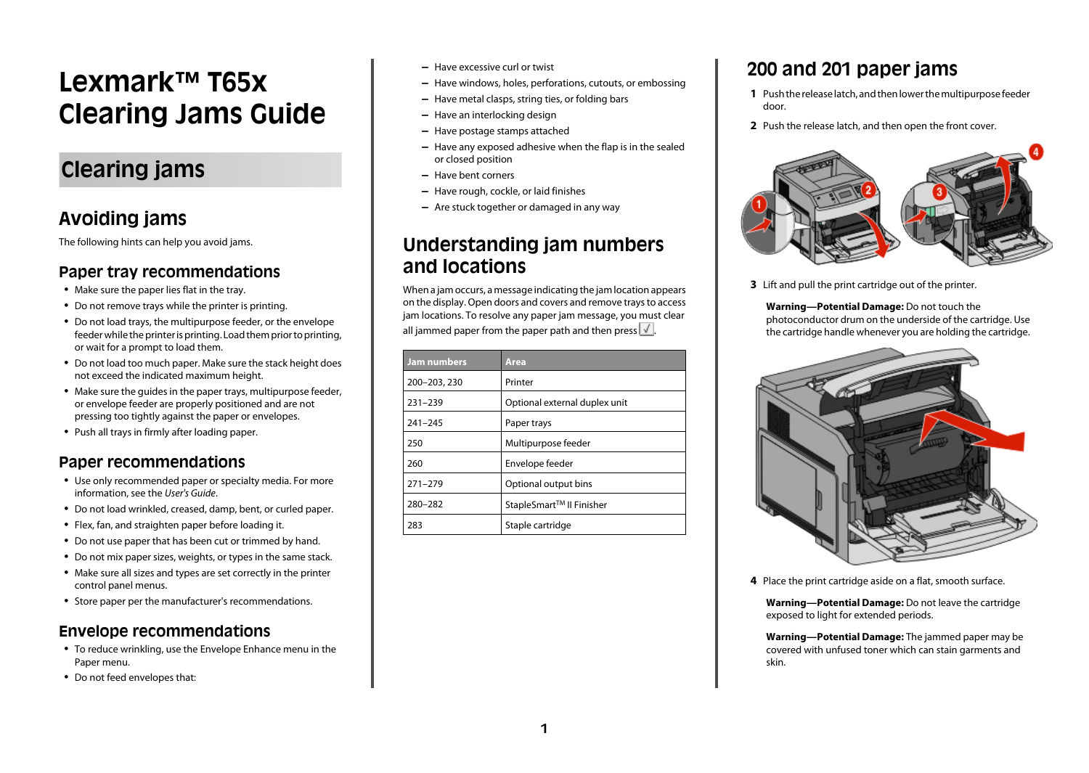# <span id="page-0-0"></span>**Lexmark™ T65x Clearing Jams Guide**

# **Clearing jams**

### **Avoiding jams**

The following hints can help you avoid jams.

#### **Paper tray recommendations**

- **•** Make sure the paper lies flat in the tray.
- **•** Do not remove trays while the printer is printing.
- **•** Do not load trays, the multipurpose feeder, or the envelope feeder while the printer is printing. Load them prior to printing, or wait for a prompt to load them.
- **•** Do not load too much paper. Make sure the stack height does not exceed the indicated maximum height.
- **•** Make sure the guides in the paper trays, multipurpose feeder, or envelope feeder are properly positioned and are not pressing too tightly against the paper or envelopes.
- **•** Push all trays in firmly after loading paper.

#### **Paper recommendations**

- **•** Use only recommended paper or specialty media. For more information, see the *User's Guide*.
- **•** Do not load wrinkled, creased, damp, bent, or curled paper.
- **•** Flex, fan, and straighten paper before loading it.
- **•** Do not use paper that has been cut or trimmed by hand.
- **•** Do not mix paper sizes, weights, or types in the same stack.
- **•** Make sure all sizes and types are set correctly in the printer control panel menus.
- **•** Store paper per the manufacturer's recommendations.

#### **Envelope recommendations**

- **•** To reduce wrinkling, use the Envelope Enhance menu in the Paper menu.
- **•** Do not feed envelopes that:
- **–** Have excessive curl or twist
- **–** Have windows, holes, perforations, cutouts, or embossing
- **–** Have metal clasps, string ties, or folding bars
- **–** Have an interlocking design
- **–** Have postage stamps attached
- **–** Have any exposed adhesive when the flap is in the sealed or closed position
- **–** Have bent corners
- **–** Have rough, cockle, or laid finishes
- **–** Are stuck together or damaged in any way

#### **Understanding jam numbers and locations**

When a jam occurs, a message indicating the jam location appears on the display. Open doors and covers and remove trays to access jam locations. To resolve any paper jam message, you must clear all jammed paper from the paper path and then press  $\sqrt{ }$ .

| <b>Jam numbers</b> | Area                                 |
|--------------------|--------------------------------------|
| 200-203, 230       | Printer                              |
| $231 - 239$        | Optional external duplex unit        |
| $241 - 245$        | Paper trays                          |
| 250                | Multipurpose feeder                  |
| 260                | Envelope feeder                      |
| $271 - 279$        | Optional output bins                 |
| 280-282            | StapleSmart <sup>™</sup> II Finisher |
| 283                | Staple cartridge                     |

### **200 and 201 paper jams**

- **1** Push the release latch, and then lower the multipurpose feeder door.
- **2** Push the release latch, and then open the front cover.



**3** Lift and pull the print cartridge out of the printer.

**Warning—Potential Damage:** Do not touch the photoconductor drum on the underside of the cartridge. Use the cartridge handle whenever you are holding the cartridge.



**4** Place the print cartridge aside on a flat, smooth surface.

**Warning—Potential Damage:** Do not leave the cartridge exposed to light for extended periods.

**Warning—Potential Damage:** The jammed paper may be covered with unfused toner which can stain garments and skin.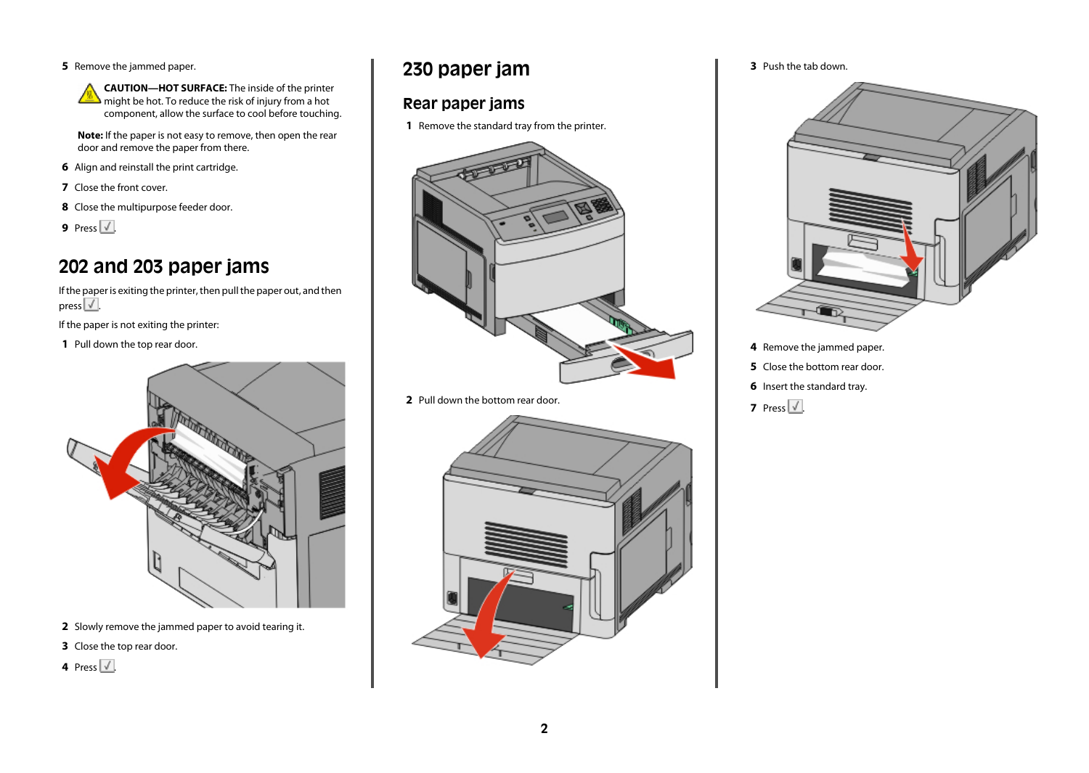**5** Remove the jammed paper.



**CAUTION—HOT SURFACE:** The inside of the printer might be hot. To reduce the risk of injury from a hot component, allow the surface to cool before touching.

**Note:** If the paper is not easy to remove, then open the rear door and remove the paper from there.

- **6** Align and reinstall the print cartridge.
- **7** Close the front cover.
- **8** Close the multipurpose feeder door.
- **9** Press  $\sqrt{\phantom{a}}$ .

### **202 and 203 paper jams**

If the paper is exiting the printer, then pull the paper out, and then press  $\sqrt{\sqrt{2}}$ 

If the paper is not exiting the printer:

**1** Pull down the top rear door.



- **2** Slowly remove the jammed paper to avoid tearing it.
- **3** Close the top rear door.
- 4 Press  $\sqrt{\phantom{a}}$ .

#### **230 paper jam**

#### **Rear paper jams**

**1** Remove the standard tray from the printer.



**2** Pull down the bottom rear door.



**3** Push the tab down.



- **4** Remove the jammed paper.
- **5** Close the bottom rear door.
- **6** Insert the standard tray.
- **7** Press  $\sqrt{ }$ .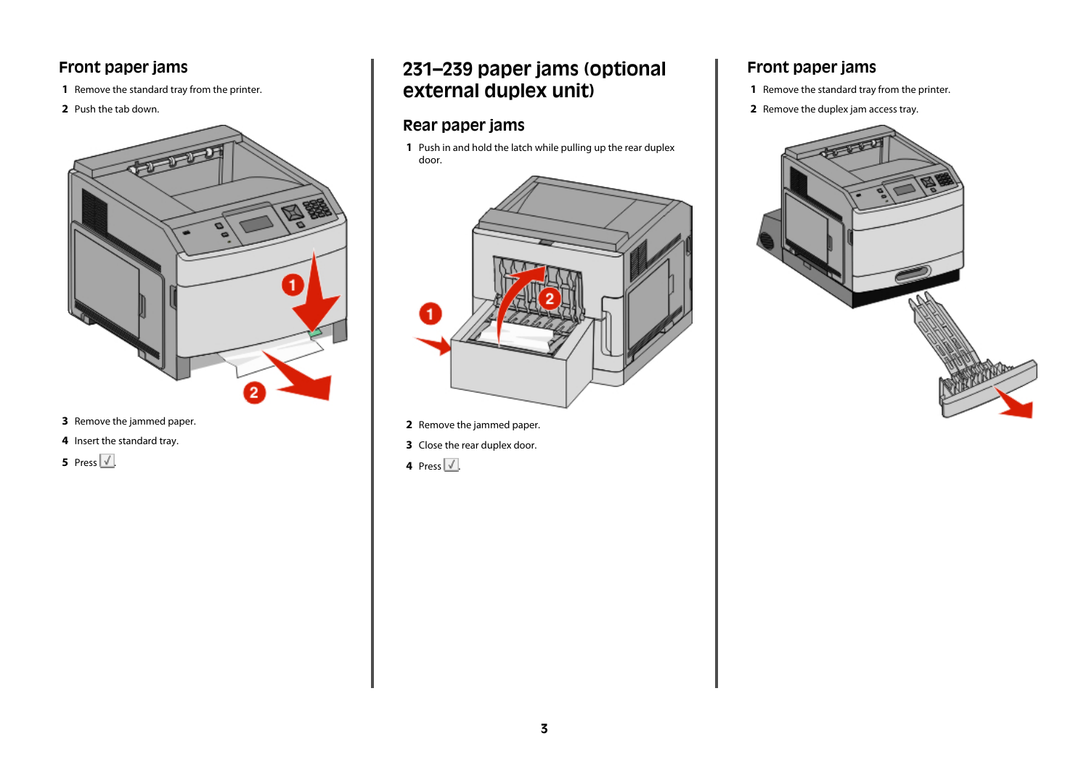#### **Front paper jams**

- Remove the standard tray from the printer.
- Push the tab down.



- Remove the jammed paper.
- Insert the standard tray.



### **231–239 paper jams (optional external duplex unit)**

#### **Rear paper jams**

 Push in and hold the latch while pulling up the rear duplex door.



- Remove the jammed paper.
- Close the rear duplex door.
- **4** Press  $\sqrt{\phantom{a}}$ .

#### **Front paper jams**

- Remove the standard tray from the printer.
- Remove the duplex jam access tray.

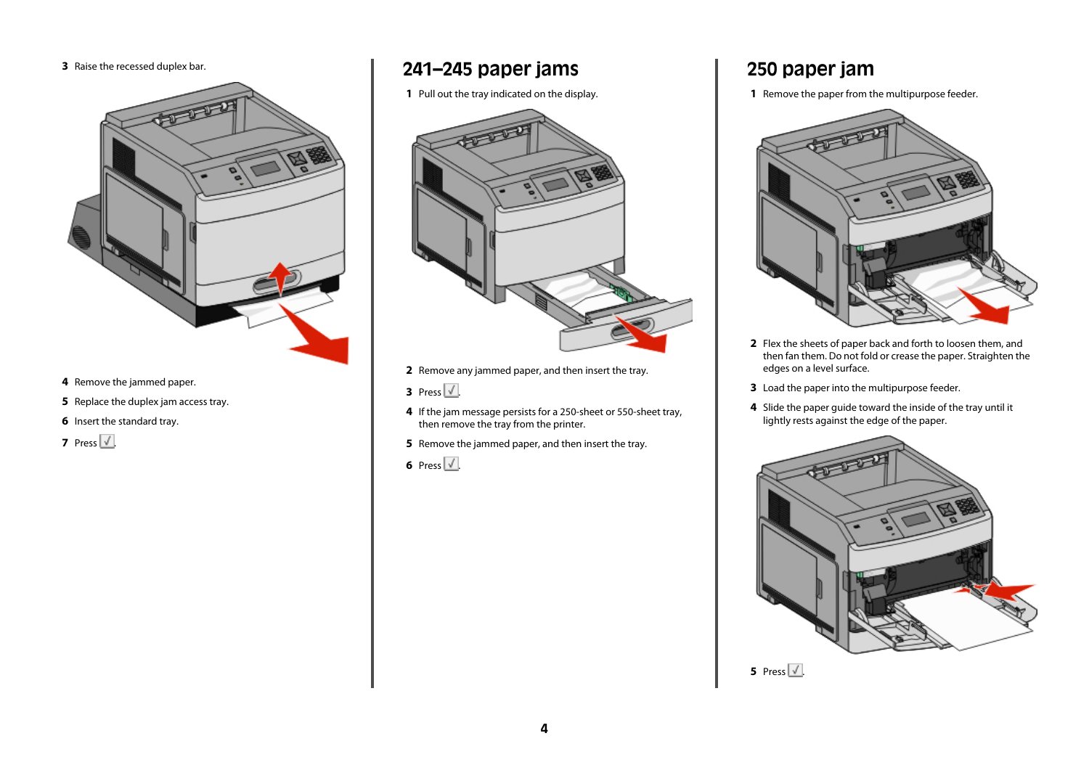**3** Raise the recessed duplex bar.



- **4** Remove the jammed paper.
- **5** Replace the duplex jam access tray.
- **6** Insert the standard tray.
- **7** Press  $\sqrt{ }$ .

#### **241–245 paper jams**

**1** Pull out the tray indicated on the display.



- **2** Remove any jammed paper, and then insert the tray.
- **3** Press  $\sqrt{ }$ .
- **4** If the jam message persists for a 250-sheet or 550-sheet tray, then remove the tray from the printer.
- **5** Remove the jammed paper, and then insert the tray.
- **6** Press  $\sqrt{}$ .

### **250 paper jam**

**1** Remove the paper from the multipurpose feeder.



- **2** Flex the sheets of paper back and forth to loosen them, and then fan them. Do not fold or crease the paper. Straighten the edges on a level surface.
- **3** Load the paper into the multipurpose feeder.
- **4** Slide the paper guide toward the inside of the tray until it lightly rests against the edge of the paper.



**5** Press  $\sqrt{\phantom{a}}$ .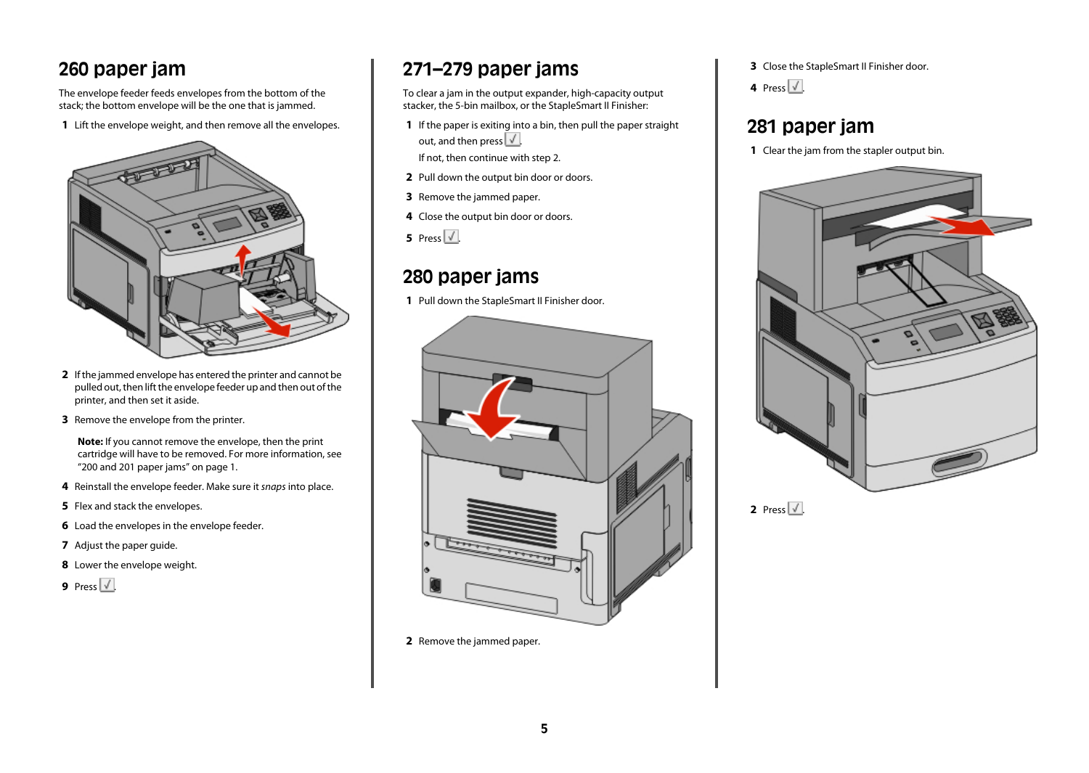### **260 paper jam**

The envelope feeder feeds envelopes from the bottom of the stack; the bottom envelope will be the one that is jammed.

**1** Lift the envelope weight, and then remove all the envelopes.



- **2** If the jammed envelope has entered the printer and cannot be pulled out, then lift the envelope feeder up and then out of the printer, and then set it aside.
- **3** Remove the envelope from the printer.

**Note:** If you cannot remove the envelope, then the print cartridge will have to be removed. For more information, see ["200 and 201 paper jams" on page 1](#page-0-0).

- **4** Reinstall the envelope feeder. Make sure it *snaps* into place.
- **5** Flex and stack the envelopes.
- **6** Load the envelopes in the envelope feeder.
- **7** Adjust the paper guide.
- **8** Lower the envelope weight.
- **9** Press  $\sqrt{ }$ .

## **271–279 paper jams**

To clear a jam in the output expander, high-capacity output stacker, the 5-bin mailbox, or the StapleSmart II Finisher:

**1** If the paper is exiting into a bin, then pull the paper straight out, and then press  $\sqrt{2}$ .

If not, then continue with step 2.

- **2** Pull down the output bin door or doors.
- **3** Remove the jammed paper.
- **4** Close the output bin door or doors.

**5** Press  $\sqrt{\phantom{a}}$ .

### **280 paper jams**

**1** Pull down the StapleSmart II Finisher door.



**2** Remove the jammed paper.

**3** Close the StapleSmart II Finisher door.

4 Press  $\sqrt{\phantom{a}}$ .

#### **281 paper jam**





**2** Press  $\sqrt{1}$ .